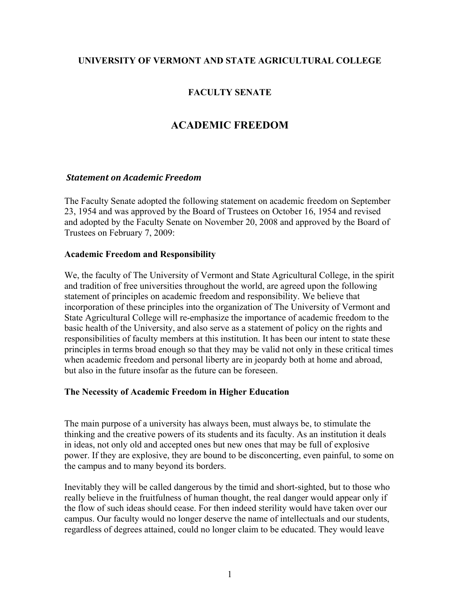# **UNIVERSITY OF VERMONT AND STATE AGRICULTURAL COLLEGE**

# **FACULTY SENATE**

# **ACADEMIC FREEDOM**

### *Statement on Academic Freedom*

The Faculty Senate adopted the following statement on academic freedom on September 23, 1954 and was approved by the Board of Trustees on October 16, 1954 and revised and adopted by the Faculty Senate on November 20, 2008 and approved by the Board of Trustees on February 7, 2009:

### **Academic Freedom and Responsibility**

We, the faculty of The University of Vermont and State Agricultural College, in the spirit and tradition of free universities throughout the world, are agreed upon the following statement of principles on academic freedom and responsibility. We believe that incorporation of these principles into the organization of The University of Vermont and State Agricultural College will re-emphasize the importance of academic freedom to the basic health of the University, and also serve as a statement of policy on the rights and responsibilities of faculty members at this institution. It has been our intent to state these principles in terms broad enough so that they may be valid not only in these critical times when academic freedom and personal liberty are in jeopardy both at home and abroad, but also in the future insofar as the future can be foreseen.

## **The Necessity of Academic Freedom in Higher Education**

The main purpose of a university has always been, must always be, to stimulate the thinking and the creative powers of its students and its faculty. As an institution it deals in ideas, not only old and accepted ones but new ones that may be full of explosive power. If they are explosive, they are bound to be disconcerting, even painful, to some on the campus and to many beyond its borders.

Inevitably they will be called dangerous by the timid and short-sighted, but to those who really believe in the fruitfulness of human thought, the real danger would appear only if the flow of such ideas should cease. For then indeed sterility would have taken over our campus. Our faculty would no longer deserve the name of intellectuals and our students, regardless of degrees attained, could no longer claim to be educated. They would leave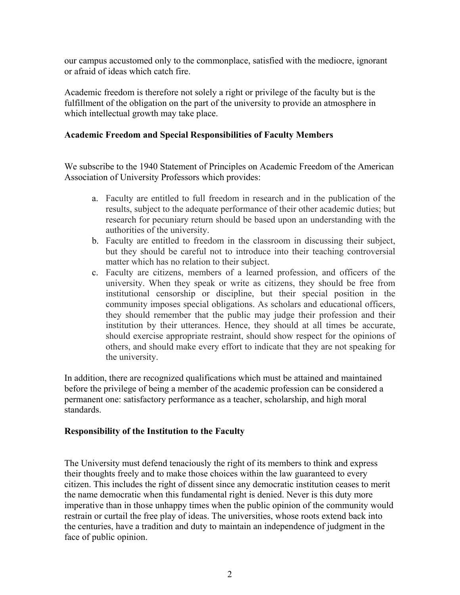our campus accustomed only to the commonplace, satisfied with the mediocre, ignorant or afraid of ideas which catch fire.

Academic freedom is therefore not solely a right or privilege of the faculty but is the fulfillment of the obligation on the part of the university to provide an atmosphere in which intellectual growth may take place.

#### **Academic Freedom and Special Responsibilities of Faculty Members**

We subscribe to the 1940 Statement of Principles on Academic Freedom of the American Association of University Professors which provides:

- a. Faculty are entitled to full freedom in research and in the publication of the results, subject to the adequate performance of their other academic duties; but research for pecuniary return should be based upon an understanding with the authorities of the university.
- b. Faculty are entitled to freedom in the classroom in discussing their subject, but they should be careful not to introduce into their teaching controversial matter which has no relation to their subject.
- c. Faculty are citizens, members of a learned profession, and officers of the university. When they speak or write as citizens, they should be free from institutional censorship or discipline, but their special position in the community imposes special obligations. As scholars and educational officers, they should remember that the public may judge their profession and their institution by their utterances. Hence, they should at all times be accurate, should exercise appropriate restraint, should show respect for the opinions of others, and should make every effort to indicate that they are not speaking for the university.

In addition, there are recognized qualifications which must be attained and maintained before the privilege of being a member of the academic profession can be considered a permanent one: satisfactory performance as a teacher, scholarship, and high moral standards.

#### **Responsibility of the Institution to the Faculty**

The University must defend tenaciously the right of its members to think and express their thoughts freely and to make those choices within the law guaranteed to every citizen. This includes the right of dissent since any democratic institution ceases to merit the name democratic when this fundamental right is denied. Never is this duty more imperative than in those unhappy times when the public opinion of the community would restrain or curtail the free play of ideas. The universities, whose roots extend back into the centuries, have a tradition and duty to maintain an independence of judgment in the face of public opinion.